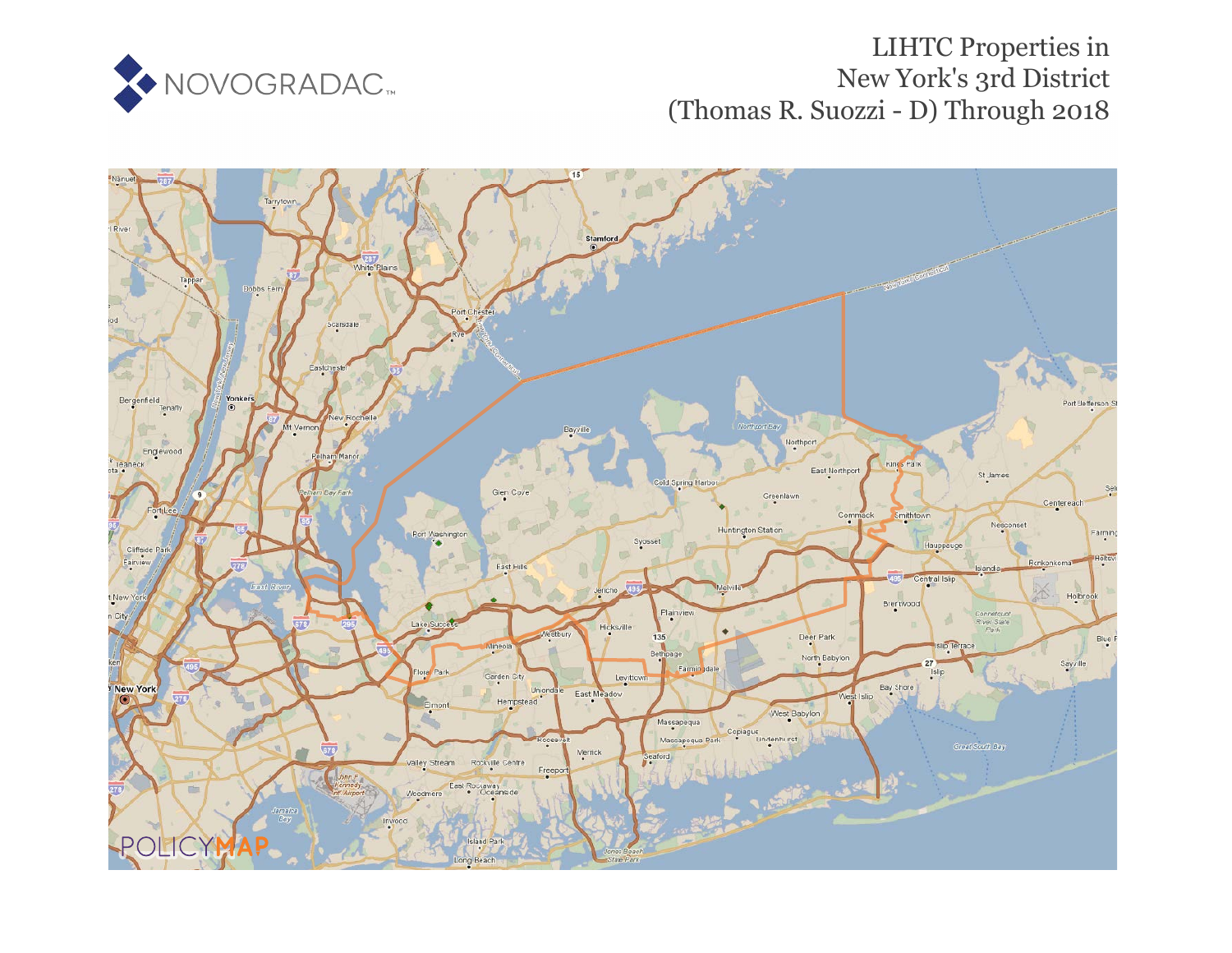

## LIHTC Properties in New York's 3rd District (Thomas R. Suozzi - D) Through 2018

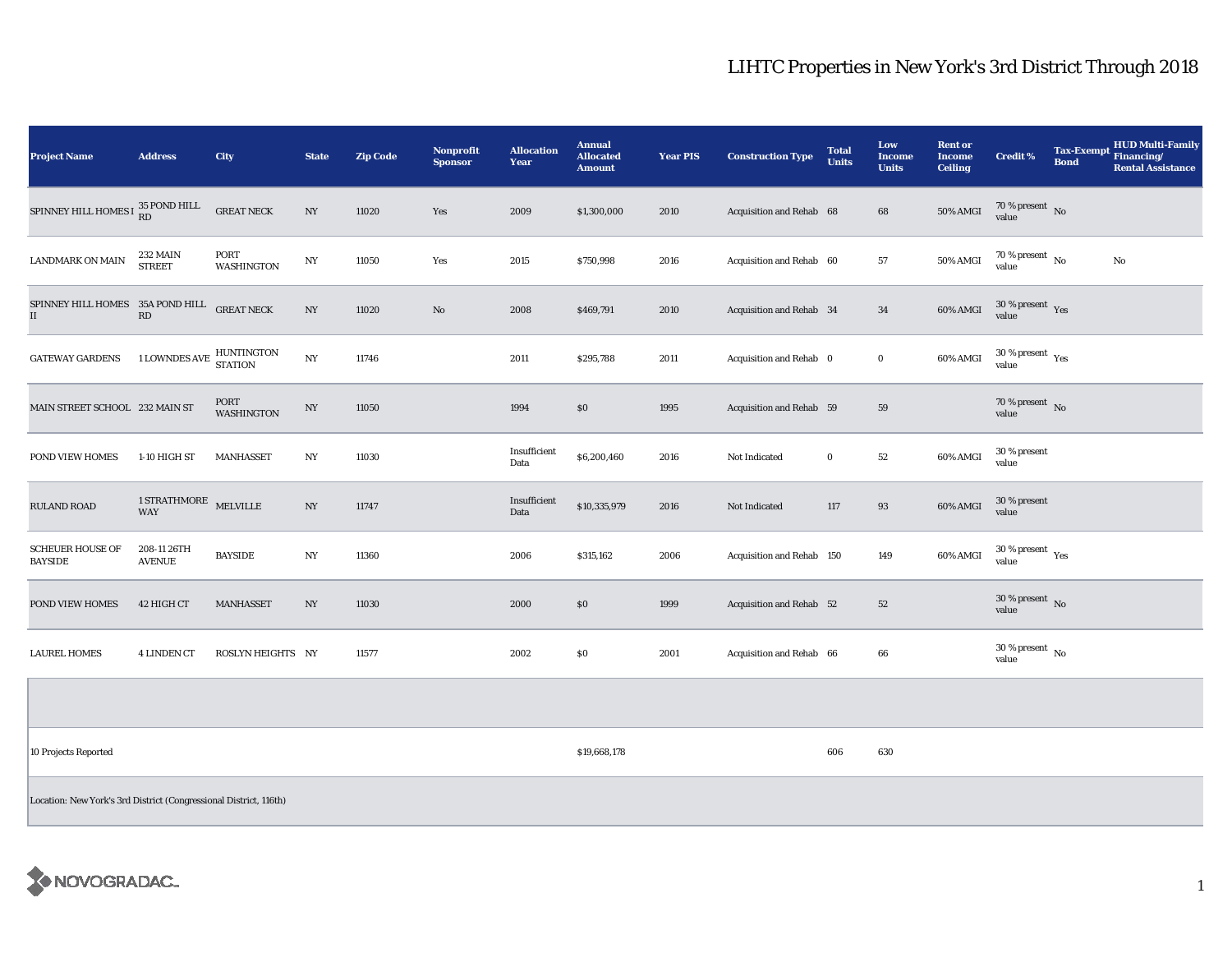## LIHTC Properties in New York's 3rd District Through 2018

| <b>Project Name</b>                             | <b>Address</b>                             | <b>City</b>               | <b>State</b>     | <b>Zip Code</b> | Nonprofit<br><b>Sponsor</b> | <b>Allocation</b><br>Year | <b>Annual</b><br><b>Allocated</b><br><b>Amount</b> | <b>Year PIS</b> | <b>Construction Type</b>  | <b>Total</b><br><b>Units</b> | Low<br><b>Income</b><br><b>Units</b> | <b>Rent or</b><br>Income<br><b>Ceiling</b> | <b>Credit %</b>                  | <b>Tax-Exempt</b><br><b>Bond</b> | <b>HUD Multi-Family</b><br>Financing/<br><b>Rental Assistance</b> |
|-------------------------------------------------|--------------------------------------------|---------------------------|------------------|-----------------|-----------------------------|---------------------------|----------------------------------------------------|-----------------|---------------------------|------------------------------|--------------------------------------|--------------------------------------------|----------------------------------|----------------------------------|-------------------------------------------------------------------|
| SPINNEY HILL HOMES I $_{\rm RD}^{35}$ POND HILL |                                            | <b>GREAT NECK</b>         | NY               | 11020           | Yes                         | 2009                      | \$1,300,000                                        | 2010            | Acquisition and Rehab 68  |                              | 68                                   | <b>50% AMGI</b>                            | $70\,\%$ present $\,$ No value   |                                  |                                                                   |
| <b>LANDMARK ON MAIN</b>                         | 232 MAIN<br><b>STREET</b>                  | PORT<br><b>WASHINGTON</b> | NY               | 11050           | Yes                         | 2015                      | \$750,998                                          | 2016            | Acquisition and Rehab 60  |                              | 57                                   | <b>50% AMGI</b>                            | $70\,\%$ present $\,$ No value   |                                  | No                                                                |
| SPINNEY HILL HOMES 35A POND HILL<br>$\rm II$    | $\mathbb{R}\mathbb{D}$                     | <b>GREAT NECK</b>         | NY               | 11020           | No                          | 2008                      | \$469,791                                          | 2010            | Acquisition and Rehab 34  |                              | 34                                   | 60% AMGI                                   | $30\,\%$ present $\,$ Yes value  |                                  |                                                                   |
| <b>GATEWAY GARDENS</b>                          | <b>1 LOWNDES AVE</b>                       | HUNTINGTON<br>STATION     | $_{\mathrm{NY}}$ | 11746           |                             | 2011                      | \$295,788                                          | 2011            | Acquisition and Rehab 0   |                              | $\bf{0}$                             | 60% AMGI                                   | $30\,\%$ present $\,$ Yes value  |                                  |                                                                   |
| MAIN STREET SCHOOL 232 MAIN ST                  |                                            | PORT<br><b>WASHINGTON</b> | $_{\mathrm{NY}}$ | 11050           |                             | 1994                      | \$0                                                | 1995            | Acquisition and Rehab 59  |                              | 59                                   |                                            | $70$ % present $$\rm{No}$$ value |                                  |                                                                   |
| POND VIEW HOMES                                 | 1-10 HIGH ST                               | <b>MANHASSET</b>          | NY               | 11030           |                             | Insufficient<br>Data      | \$6,200,460                                        | 2016            | Not Indicated             | $\bf{0}$                     | 52                                   | 60% AMGI                                   | 30 % present<br>value            |                                  |                                                                   |
| <b>RULAND ROAD</b>                              | $1$ STRATHMORE $\,$ MELVILLE<br><b>WAY</b> |                           | NY               | 11747           |                             | Insufficient<br>Data      | \$10,335,979                                       | 2016            | Not Indicated             | 117                          | 93                                   | 60% AMGI                                   | 30 % present<br>value            |                                  |                                                                   |
| <b>SCHEUER HOUSE OF</b><br><b>BAYSIDE</b>       | 208-11 26TH<br><b>AVENUE</b>               | <b>BAYSIDE</b>            | $_{\mathrm{NY}}$ | 11360           |                             | 2006                      | \$315,162                                          | 2006            | Acquisition and Rehab 150 |                              | 149                                  | 60% AMGI                                   | $30\,\%$ present $\,$ Yes value  |                                  |                                                                   |
| POND VIEW HOMES                                 | 42 HIGH CT                                 | <b>MANHASSET</b>          | NY               | 11030           |                             | 2000                      | \$0                                                | 1999            | Acquisition and Rehab 52  |                              | 52                                   |                                            | $30\,\%$ present $\,$ No value   |                                  |                                                                   |
| <b>LAUREL HOMES</b>                             | <b>4 LINDEN CT</b>                         | ROSLYN HEIGHTS NY         |                  | 11577           |                             | 2002                      | \$0                                                | 2001            | Acquisition and Rehab 66  |                              | 66                                   |                                            | $30\,\%$ present $\,$ No value   |                                  |                                                                   |
|                                                 |                                            |                           |                  |                 |                             |                           |                                                    |                 |                           |                              |                                      |                                            |                                  |                                  |                                                                   |
| 10 Projects Reported                            |                                            |                           |                  |                 |                             |                           | \$19,668,178                                       |                 |                           | 606                          | 630                                  |                                            |                                  |                                  |                                                                   |
|                                                 |                                            |                           |                  |                 |                             |                           |                                                    |                 |                           |                              |                                      |                                            |                                  |                                  |                                                                   |

Location: New York's 3rd District (Congressional District, 116th)